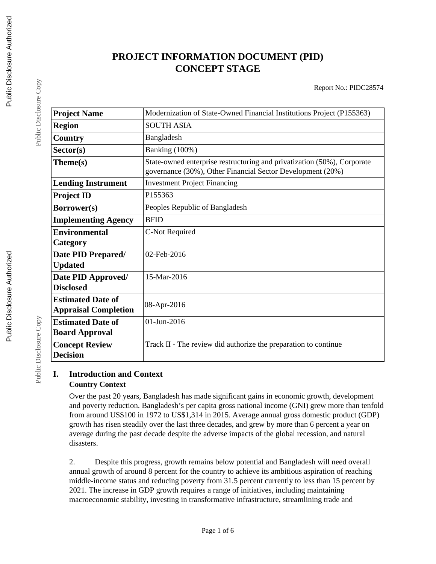# **PROJECT INFORMATION DOCUMENT (PID) CONCEPT STAGE**

Report No.: PIDC28574

| <b>Project Name</b>         | Modernization of State-Owned Financial Institutions Project (P155363)                                                                 |
|-----------------------------|---------------------------------------------------------------------------------------------------------------------------------------|
| <b>Region</b>               | <b>SOUTH ASIA</b>                                                                                                                     |
| Country                     | Bangladesh                                                                                                                            |
| Sector(s)                   | <b>Banking</b> (100%)                                                                                                                 |
| Theme(s)                    | State-owned enterprise restructuring and privatization (50%), Corporate<br>governance (30%), Other Financial Sector Development (20%) |
| <b>Lending Instrument</b>   | <b>Investment Project Financing</b>                                                                                                   |
| <b>Project ID</b>           | P155363                                                                                                                               |
| Borrower(s)                 | Peoples Republic of Bangladesh                                                                                                        |
| <b>Implementing Agency</b>  | <b>BFID</b>                                                                                                                           |
| <b>Environmental</b>        | C-Not Required                                                                                                                        |
| Category                    |                                                                                                                                       |
| Date PID Prepared/          | 02-Feb-2016                                                                                                                           |
| <b>Updated</b>              |                                                                                                                                       |
| Date PID Approved/          | 15-Mar-2016                                                                                                                           |
| <b>Disclosed</b>            |                                                                                                                                       |
| <b>Estimated Date of</b>    | 08-Apr-2016                                                                                                                           |
| <b>Appraisal Completion</b> |                                                                                                                                       |
| <b>Estimated Date of</b>    | 01-Jun-2016                                                                                                                           |
| <b>Board Approval</b>       |                                                                                                                                       |
| <b>Concept Review</b>       | Track II - The review did authorize the preparation to continue                                                                       |
| <b>Decision</b>             |                                                                                                                                       |

## **I. Introduction and Context Country Context**

Over the past 20 years, Bangladesh has made significant gains in economic growth, development and poverty reduction. Bangladesh's per capita gross national income (GNI) grew more than tenfold from around US\$100 in 1972 to US\$1,314 in 2015. Average annual gross domestic product (GDP) growth has risen steadily over the last three decades, and grew by more than 6 percent a year on average during the past decade despite the adverse impacts of the global recession, and natural disasters.

2. Despite this progress, growth remains below potential and Bangladesh will need overall annual growth of around 8 percent for the country to achieve its ambitious aspiration of reaching middle-income status and reducing poverty from 31.5 percent currently to less than 15 percent by 2021. The increase in GDP growth requires a range of initiatives, including maintaining macroeconomic stability, investing in transformative infrastructure, streamlining trade and

Public Disclosure Copy

Public Disclosure Copy

Public Disclosure Copy

Public Disclosure Copy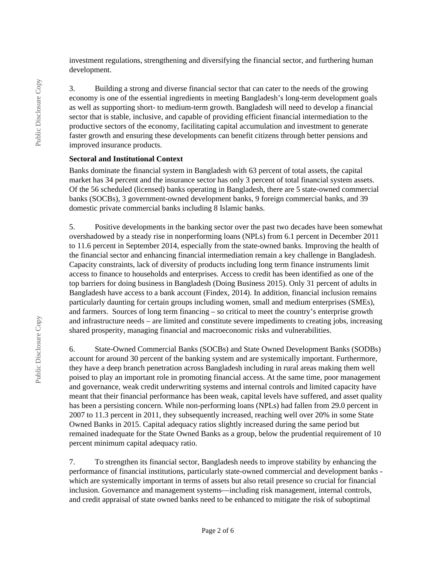investment regulations, strengthening and diversifying the financial sector, and furthering human development.

3. Building a strong and diverse financial sector that can cater to the needs of the growing economy is one of the essential ingredients in meeting Bangladesh's long-term development goals as well as supporting short- to medium-term growth. Bangladesh will need to develop a financial sector that is stable, inclusive, and capable of providing efficient financial intermediation to the productive sectors of the economy, facilitating capital accumulation and investment to generate faster growth and ensuring these developments can benefit citizens through better pensions and improved insurance products.

#### **Sectoral and Institutional Context**

Banks dominate the financial system in Bangladesh with 63 percent of total assets, the capital market has 34 percent and the insurance sector has only 3 percent of total financial system assets. Of the 56 scheduled (licensed) banks operating in Bangladesh, there are 5 state-owned commercial banks (SOCBs), 3 government-owned development banks, 9 foreign commercial banks, and 39 domestic private commercial banks including 8 Islamic banks.

5. Positive developments in the banking sector over the past two decades have been somewhat overshadowed by a steady rise in nonperforming loans (NPLs) from 6.1 percent in December 2011 to 11.6 percent in September 2014, especially from the state-owned banks. Improving the health of the financial sector and enhancing financial intermediation remain a key challenge in Bangladesh. Capacity constraints, lack of diversity of products including long term finance instruments limit access to finance to households and enterprises. Access to credit has been identified as one of the top barriers for doing business in Bangladesh (Doing Business 2015). Only 31 percent of adults in Bangladesh have access to a bank account (Findex, 2014). In addition, financial inclusion remains particularly daunting for certain groups including women, small and medium enterprises (SMEs), and farmers. Sources of long term financing – so critical to meet the country's enterprise growth and infrastructure needs – are limited and constitute severe impediments to creating jobs, increasing shared prosperity, managing financial and macroeconomic risks and vulnerabilities.

6. State-Owned Commercial Banks (SOCBs) and State Owned Development Banks (SODBs) account for around 30 percent of the banking system and are systemically important. Furthermore, they have a deep branch penetration across Bangladesh including in rural areas making them well poised to play an important role in promoting financial access. At the same time, poor management and governance, weak credit underwriting systems and internal controls and limited capacity have meant that their financial performance has been weak, capital levels have suffered, and asset quality has been a persisting concern. While non-performing loans (NPLs) had fallen from 29.0 percent in 2007 to 11.3 percent in 2011, they subsequently increased, reaching well over 20% in some State Owned Banks in 2015. Capital adequacy ratios slightly increased during the same period but remained inadequate for the State Owned Banks as a group, below the prudential requirement of 10 percent minimum capital adequacy ratio.

7. To strengthen its financial sector, Bangladesh needs to improve stability by enhancing the performance of financial institutions, particularly state-owned commercial and development banks which are systemically important in terms of assets but also retail presence so crucial for financial inclusion. Governance and management systems—including risk management, internal controls, and credit appraisal of state owned banks need to be enhanced to mitigate the risk of suboptimal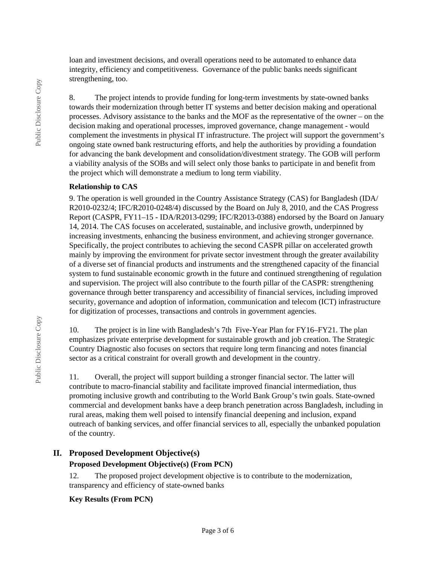loan and investment decisions, and overall operations need to be automated to enhance data integrity, efficiency and competitiveness. Governance of the public banks needs significant strengthening, too.

8. The project intends to provide funding for long-term investments by state-owned banks towards their modernization through better IT systems and better decision making and operational processes. Advisory assistance to the banks and the MOF as the representative of the owner – on the decision making and operational processes, improved governance, change management - would complement the investments in physical IT infrastructure. The project will support the government's ongoing state owned bank restructuring efforts, and help the authorities by providing a foundation for advancing the bank development and consolidation/divestment strategy. The GOB will perform a viability analysis of the SOBs and will select only those banks to participate in and benefit from the project which will demonstrate a medium to long term viability.

#### **Relationship to CAS**

9. The operation is well grounded in the Country Assistance Strategy (CAS) for Bangladesh (IDA/ R2010-0232/4; IFC/R2010-0248/4) discussed by the Board on July 8, 2010, and the CAS Progress Report (CASPR, FY11–15 - IDA/R2013-0299; IFC/R2013-0388) endorsed by the Board on January 14, 2014. The CAS focuses on accelerated, sustainable, and inclusive growth, underpinned by increasing investments, enhancing the business environment, and achieving stronger governance. Specifically, the project contributes to achieving the second CASPR pillar on accelerated growth mainly by improving the environment for private sector investment through the greater availability of a diverse set of financial products and instruments and the strengthened capacity of the financial system to fund sustainable economic growth in the future and continued strengthening of regulation and supervision. The project will also contribute to the fourth pillar of the CASPR: strengthening governance through better transparency and accessibility of financial services, including improved security, governance and adoption of information, communication and telecom (ICT) infrastructure for digitization of processes, transactions and controls in government agencies.

10. The project is in line with Bangladesh's 7th Five-Year Plan for FY16–FY21. The plan emphasizes private enterprise development for sustainable growth and job creation. The Strategic Country Diagnostic also focuses on sectors that require long term financing and notes financial sector as a critical constraint for overall growth and development in the country.

11. Overall, the project will support building a stronger financial sector. The latter will contribute to macro-financial stability and facilitate improved financial intermediation, thus promoting inclusive growth and contributing to the World Bank Group's twin goals. State-owned commercial and development banks have a deep branch penetration across Bangladesh, including in rural areas, making them well poised to intensify financial deepening and inclusion, expand outreach of banking services, and offer financial services to all, especially the unbanked population of the country.

## **II. Proposed Development Objective(s)**

#### **Proposed Development Objective(s) (From PCN)**

12. The proposed project development objective is to contribute to the modernization, transparency and efficiency of state-owned banks

#### **Key Results (From PCN)**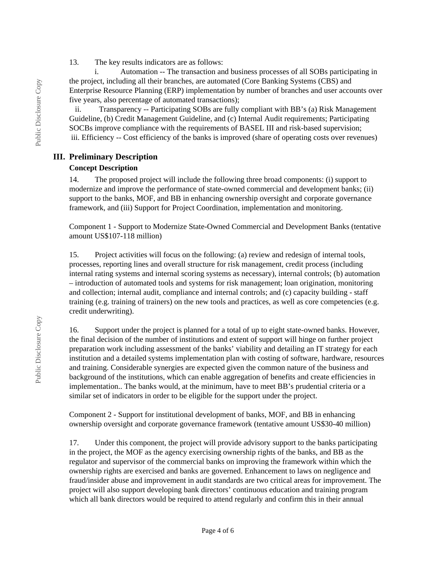13. The key results indicators are as follows:

 i. Automation -- The transaction and business processes of all SOBs participating in the project, including all their branches, are automated (Core Banking Systems (CBS) and Enterprise Resource Planning (ERP) implementation by number of branches and user accounts over five years, also percentage of automated transactions);

 ii. Transparency -- Participating SOBs are fully compliant with BB's (a) Risk Management Guideline, (b) Credit Management Guideline, and (c) Internal Audit requirements; Participating SOCBs improve compliance with the requirements of BASEL III and risk-based supervision; iii. Efficiency -- Cost efficiency of the banks is improved (share of operating costs over revenues)

#### **III. Preliminary Description**

#### **Concept Description**

14. The proposed project will include the following three broad components: (i) support to modernize and improve the performance of state-owned commercial and development banks; (ii) support to the banks, MOF, and BB in enhancing ownership oversight and corporate governance framework, and (iii) Support for Project Coordination, implementation and monitoring.

Component 1 - Support to Modernize State-Owned Commercial and Development Banks (tentative amount US\$107-118 million)

15. Project activities will focus on the following: (a) review and redesign of internal tools, processes, reporting lines and overall structure for risk management, credit process (including internal rating systems and internal scoring systems as necessary), internal controls; (b) automation – introduction of automated tools and systems for risk management; loan origination, monitoring and collection; internal audit, compliance and internal controls; and (c) capacity building - staff training (e.g. training of trainers) on the new tools and practices, as well as core competencies (e.g. credit underwriting).

16. Support under the project is planned for a total of up to eight state-owned banks. However, the final decision of the number of institutions and extent of support will hinge on further project preparation work including assessment of the banks' viability and detailing an IT strategy for each institution and a detailed systems implementation plan with costing of software, hardware, resources and training. Considerable synergies are expected given the common nature of the business and background of the institutions, which can enable aggregation of benefits and create efficiencies in implementation.. The banks would, at the minimum, have to meet BB's prudential criteria or a similar set of indicators in order to be eligible for the support under the project.

Component 2 - Support for institutional development of banks, MOF, and BB in enhancing ownership oversight and corporate governance framework (tentative amount US\$30-40 million)

17. Under this component, the project will provide advisory support to the banks participating in the project, the MOF as the agency exercising ownership rights of the banks, and BB as the regulator and supervisor of the commercial banks on improving the framework within which the ownership rights are exercised and banks are governed. Enhancement to laws on negligence and fraud/insider abuse and improvement in audit standards are two critical areas for improvement. The project will also support developing bank directors' continuous education and training program which all bank directors would be required to attend regularly and confirm this in their annual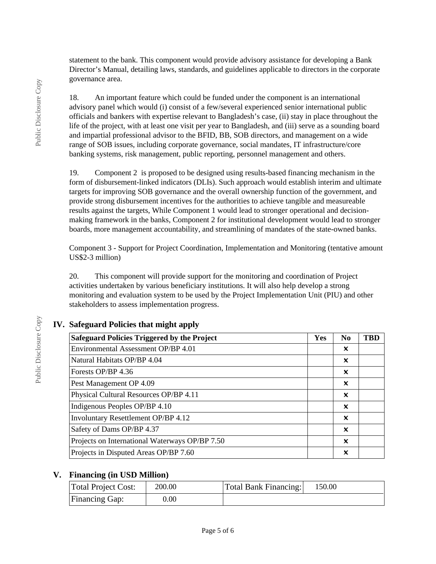statement to the bank. This component would provide advisory assistance for developing a Bank Director's Manual, detailing laws, standards, and guidelines applicable to directors in the corporate governance area.

18. An important feature which could be funded under the component is an international advisory panel which would (i) consist of a few/several experienced senior international public officials and bankers with expertise relevant to Bangladesh's case, (ii) stay in place throughout the life of the project, with at least one visit per year to Bangladesh, and (iii) serve as a sounding board and impartial professional advisor to the BFID, BB, SOB directors, and management on a wide range of SOB issues, including corporate governance, social mandates, IT infrastructure/core banking systems, risk management, public reporting, personnel management and others.

19. Component 2 is proposed to be designed using results-based financing mechanism in the form of disbursement-linked indicators (DLIs). Such approach would establish interim and ultimate targets for improving SOB governance and the overall ownership function of the government, and provide strong disbursement incentives for the authorities to achieve tangible and measureable results against the targets, While Component 1 would lead to stronger operational and decisionmaking framework in the banks, Component 2 for institutional development would lead to stronger boards, more management accountability, and streamlining of mandates of the state-owned banks.

Component 3 - Support for Project Coordination, Implementation and Monitoring (tentative amount US\$2-3 million)

20. This component will provide support for the monitoring and coordination of Project activities undertaken by various beneficiary institutions. It will also help develop a strong monitoring and evaluation system to be used by the Project Implementation Unit (PIU) and other stakeholders to assess implementation progress.

| IV. Safeguard Policies that might apply |  |
|-----------------------------------------|--|
|                                         |  |

| <b>Safeguard Policies Triggered by the Project</b> | <b>Yes</b> | N <sub>0</sub> | TBD |
|----------------------------------------------------|------------|----------------|-----|
| Environmental Assessment OP/BP 4.01                |            | ×              |     |
| Natural Habitats OP/BP 4.04                        |            | ×              |     |
| Forests OP/BP 4.36                                 |            | x              |     |
| Pest Management OP 4.09                            |            | ×              |     |
| Physical Cultural Resources OP/BP 4.11             |            | ×              |     |
| Indigenous Peoples OP/BP 4.10                      |            | ×              |     |
| Involuntary Resettlement OP/BP 4.12                |            | x              |     |
| Safety of Dams OP/BP 4.37                          |            | ×              |     |
| Projects on International Waterways OP/BP 7.50     |            | x              |     |
| Projects in Disputed Areas OP/BP 7.60              |            | x              |     |

## **V. Financing (in USD Million)**

| <b>Total Project Cost:</b> | 200.00 | <b>Total Bank Financing:</b> | 150.00 |
|----------------------------|--------|------------------------------|--------|
| <b>Financing Gap:</b>      | 0.00   |                              |        |